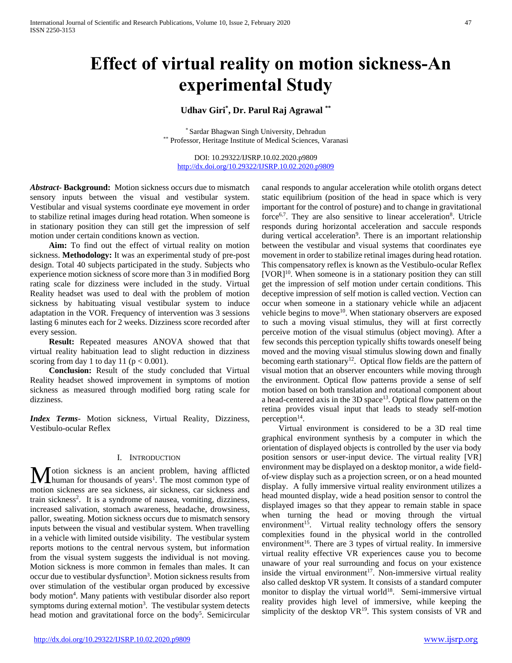# **Effect of virtual reality on motion sickness-An experimental Study**

# **Udhav Giri\* , Dr. Parul Raj Agrawal \*\***

\* Sardar Bhagwan Singh University, Dehradun \*\* Professor, Heritage Institute of Medical Sciences, Varanasi

DOI: 10.29322/IJSRP.10.02.2020.p9809 <http://dx.doi.org/10.29322/IJSRP.10.02.2020.p9809>

*Abstract***- Background:** Motion sickness occurs due to mismatch sensory inputs between the visual and vestibular system. Vestibular and visual systems coordinate eye movement in order to stabilize retinal images during head rotation. When someone is in stationary position they can still get the impression of self motion under certain conditions known as vection.

 **Aim:** To find out the effect of virtual reality on motion sickness. **Methodology:** It was an experimental study of pre-post design. Total 40 subjects participated in the study. Subjects who experience motion sickness of score more than 3 in modified Borg rating scale for dizziness were included in the study. Virtual Reality headset was used to deal with the problem of motion sickness by habituating visual vestibular system to induce adaptation in the VOR. Frequency of intervention was 3 sessions lasting 6 minutes each for 2 weeks. Dizziness score recorded after every session.

 **Result:** Repeated measures ANOVA showed that that virtual reality habituation lead to slight reduction in dizziness scoring from day 1 to day 11 ( $p < 0.001$ ).

 **Conclusion:** Result of the study concluded that Virtual Reality headset showed improvement in symptoms of motion sickness as measured through modified borg rating scale for dizziness.

*Index Terms*- Motion sickness, Virtual Reality, Dizziness, Vestibulo-ocular Reflex

# I. INTRODUCTION

otion sickness is an ancient problem, having afflicted Motion sickness is an ancient problem, having afflicted human for thousands of years<sup>1</sup>. The most common type of motion sickness are sea sickness, air sickness, car sickness and train sickness<sup>2</sup>. It is a syndrome of nausea, vomiting, dizziness, increased salivation, stomach awareness, headache, drowsiness, pallor, sweating. Motion sickness occurs due to mismatch sensory inputs between the visual and vestibular system. When travelling in a vehicle with limited outside visibility. The vestibular system reports motions to the central nervous system, but information from the visual system suggests the individual is not moving. Motion sickness is more common in females than males. It can occur due to vestibular dysfunction<sup>3</sup>. Motion sickness results from over stimulation of the vestibular organ produced by excessive body motion<sup>4</sup>. Many patients with vestibular disorder also report symptoms during external motion<sup>3</sup>. The vestibular system detects head motion and gravitational force on the body<sup>5</sup>. Semicircular canal responds to angular acceleration while otolith organs detect static equilibrium (position of the head in space which is very important for the control of posture) and to change in gravitational force<sup>6,7</sup>. They are also sensitive to linear acceleration<sup>8</sup>. Utricle responds during horizontal acceleration and saccule responds during vertical acceleration<sup>9</sup>. There is an important relationship between the vestibular and visual systems that coordinates eye movement in order to stabilize retinal images during head rotation. This compensatory reflex is known as the Vestibulo-ocular Reflex  $[VOR]^{10}$ . When someone is in a stationary position they can still get the impression of self motion under certain conditions. This deceptive impression of self motion is called vection. Vection can occur when someone in a stationary vehicle while an adjacent vehicle begins to move<sup>10</sup>. When stationary observers are exposed to such a moving visual stimulus, they will at first correctly perceive motion of the visual stimulus (object moving). After a few seconds this perception typically shifts towards oneself being moved and the moving visual stimulus slowing down and finally becoming earth stationary<sup>12</sup>. Optical flow fields are the pattern of visual motion that an observer encounters while moving through the environment. Optical flow patterns provide a sense of self motion based on both translation and rotational component about a head-centered axis in the  $3D$  space<sup>13</sup>. Optical flow pattern on the retina provides visual input that leads to steady self-motion perception $14$ .

 Virtual environment is considered to be a 3D real time graphical environment synthesis by a computer in which the orientation of displayed objects is controlled by the user via body position sensors or user-input device. The virtual reality [VR] environment may be displayed on a desktop monitor, a wide fieldof-view display such as a projection screen, or on a head mounted display. A fully immersive virtual reality environment utilizes a head mounted display, wide a head position sensor to control the displayed images so that they appear to remain stable in space when turning the head or moving through the virtual environment<sup>15</sup>. Virtual reality technology offers the sensory complexities found in the physical world in the controlled environment<sup>16</sup>. There are 3 types of virtual reality. In immersive virtual reality effective VR experiences cause you to become unaware of your real surrounding and focus on your existence inside the virtual environment<sup>17</sup>. Non-immersive virtual reality also called desktop VR system. It consists of a standard computer monitor to display the virtual world<sup>18</sup>. Semi-immersive virtual reality provides high level of immersive, while keeping the simplicity of the desktop  $VR^{19}$ . This system consists of VR and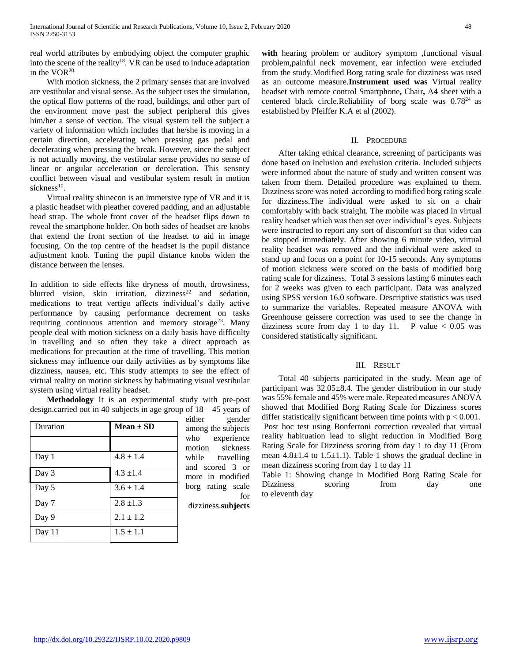real world attributes by embodying object the computer graphic into the scene of the reality<sup>18</sup>. VR can be used to induce adaptation in the  $VOR<sup>20</sup>$ .

 With motion sickness, the 2 primary senses that are involved are vestibular and visual sense. As the subject uses the simulation, the optical flow patterns of the road, buildings, and other part of the environment move past the subject peripheral this gives him/her a sense of vection. The visual system tell the subject a variety of information which includes that he/she is moving in a certain direction, accelerating when pressing gas pedal and decelerating when pressing the break. However, since the subject is not actually moving, the vestibular sense provides no sense of linear or angular acceleration or deceleration. This sensory conflict between visual and vestibular system result in motion sickness<sup>10</sup>.

 Virtual reality shinecon is an immersive type of VR and it is a plastic headset with pleather covered padding, and an adjustable head strap. The whole front cover of the headset flips down to reveal the smartphone holder. On both sides of headset are knobs that extend the front section of the headset to aid in image focusing. On the top centre of the headset is the pupil distance adjustment knob. Tuning the pupil distance knobs widen the distance between the lenses.

In addition to side effects like dryness of mouth, drowsiness, blurred vision, skin irritation, dizziness<sup>22</sup> and sedation, medications to treat vertigo affects individual's daily active performance by causing performance decrement on tasks requiring continuous attention and memory storage<sup>23</sup>. Many people deal with motion sickness on a daily basis have difficulty in travelling and so often they take a direct approach as medications for precaution at the time of travelling. This motion sickness may influence our daily activities as by symptoms like dizziness, nausea, etc. This study attempts to see the effect of virtual reality on motion sickness by habituating visual vestibular system using virtual reality headset.

 **Methodology** It is an experimental study with pre-post design.carried out in 40 subjects in age group of 18 – 45 years of

| Duration | $Mean \pm SD$ |
|----------|---------------|
|          |               |
| Day 1    | $4.8 \pm 1.4$ |
| Day 3    | $4.3 \pm 1.4$ |
| Day 5    | $3.6 \pm 1.4$ |
| Day 7    | $2.8 \pm 1.3$ |
| Day 9    | $2.1 \pm 1.2$ |
| Day 11   | $1.5 \pm 1.1$ |

either gender among the subjects who experience motion sickness while travelling and scored 3 or more in modified borg rating scale for dizziness.**subjects** 

**with** hearing problem or auditory symptom ,functional visual problem,painful neck movement, ear infection were excluded from the study.Modified Borg rating scale for dizziness was used as an outcome measure.**Instrument used was** Virtual reality headset with remote control Smartphone**,** Chair**,** A4 sheet with a centered black circle.Reliability of borg scale was  $0.78^{24}$  as established by Pfeiffer K.A et al (2002).

# II. PROCEDURE

 After taking ethical clearance, screening of participants was done based on inclusion and exclusion criteria. Included subjects were informed about the nature of study and written consent was taken from them. Detailed procedure was explained to them. Dizziness score was noted according to modified borg rating scale for dizziness.The individual were asked to sit on a chair comfortably with back straight. The mobile was placed in virtual reality headset which was then set over individual's eyes. Subjects were instructed to report any sort of discomfort so that video can be stopped immediately. After showing 6 minute video, virtual reality headset was removed and the individual were asked to stand up and focus on a point for 10-15 seconds. Any symptoms of motion sickness were scored on the basis of modified borg rating scale for dizziness. Total 3 sessions lasting 6 minutes each for 2 weeks was given to each participant. Data was analyzed using SPSS version 16.0 software. Descriptive statistics was used to summarize the variables. Repeated measure ANOVA with Greenhouse geissere correction was used to see the change in dizziness score from day 1 to day 11. P value  $< 0.05$  was considered statistically significant.

# III. RESULT

 Total 40 subjects participated in the study. Mean age of participant was 32.05±8.4. The gender distribution in our study was 55% female and 45% were male. Repeated measures ANOVA showed that Modified Borg Rating Scale for Dizziness scores differ statistically significant between time points with  $p < 0.001$ . Post hoc test using Bonferroni correction revealed that virtual reality habituation lead to slight reduction in Modified Borg Rating Scale for Dizziness scoring from day 1 to day 11 (From mean  $4.8 \pm 1.4$  to  $1.5 \pm 1.1$ ). Table 1 shows the gradual decline in mean dizziness scoring from day 1 to day 11

Table 1: Showing change in Modified Borg Rating Scale for Dizziness scoring from day one to eleventh day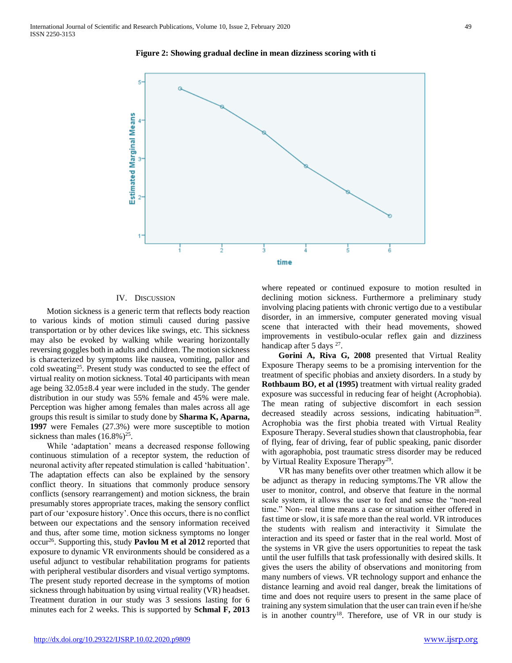

### **Figure 2: Showing gradual decline in mean dizziness scoring with ti**

### IV. DISCUSSION

 Motion sickness is a generic term that reflects body reaction to various kinds of motion stimuli caused during passive transportation or by other devices like swings, etc. This sickness may also be evoked by walking while wearing horizontally reversing goggles both in adults and children. The motion sickness is characterized by symptoms like nausea, vomiting, pallor and cold sweating<sup>25</sup>. Present study was conducted to see the effect of virtual reality on motion sickness. Total 40 participants with mean age being 32.05±8.4 year were included in the study. The gender distribution in our study was 55% female and 45% were male. Perception was higher among females than males across all age groups this result is similar to study done by **Sharma K, Aparna, 1997** were Females (27.3%) were more susceptible to motion sickness than males  $(16.8\%)^{25}$ .

 While 'adaptation' means a decreased response following continuous stimulation of a receptor system, the reduction of neuronal activity after repeated stimulation is called 'habituation'. The adaptation effects can also be explained by the sensory conflict theory. In situations that commonly produce sensory conflicts (sensory rearrangement) and motion sickness, the brain presumably stores appropriate traces, making the sensory conflict part of our 'exposure history'. Once this occurs, there is no conflict between our expectations and the sensory information received and thus, after some time, motion sickness symptoms no longer occur<sup>26</sup>. Supporting this, study **Pavlou M et al 2012** reported that exposure to dynamic VR environments should be considered as a useful adjunct to vestibular rehabilitation programs for patients with peripheral vestibular disorders and visual vertigo symptoms. The present study reported decrease in the symptoms of motion sickness through habituation by using virtual reality (VR) headset. Treatment duration in our study was 3 sessions lasting for 6 minutes each for 2 weeks. This is supported by **Schmal F, 2013**  where repeated or continued exposure to motion resulted in declining motion sickness. Furthermore a preliminary study involving placing patients with chronic vertigo due to a vestibular disorder, in an immersive, computer generated moving visual scene that interacted with their head movements, showed improvements in vestibulo-ocular reflex gain and dizziness handicap after 5 days <sup>27</sup>.

 **Gorini A, Riva G, 2008** presented that Virtual Reality Exposure Therapy seems to be a promising intervention for the treatment of specific phobias and anxiety disorders. In a study by **Rothbaum BO, et al (1995)** treatment with virtual reality graded exposure was successful in reducing fear of height (Acrophobia). The mean rating of subjective discomfort in each session decreased steadily across sessions, indicating habituation<sup>28</sup>. Acrophobia was the first phobia treated with Virtual Reality Exposure Therapy. Several studies shown that claustrophobia, fear of flying, fear of driving, fear of public speaking, panic disorder with agoraphobia, post traumatic stress disorder may be reduced by Virtual Reality Exposure Therapy<sup>29</sup>.

 VR has many benefits over other treatmen which allow it be be adjunct as therapy in reducing symptoms.The VR allow the user to monitor, control, and observe that feature in the normal scale system, it allows the user to feel and sense the "non-real time." Non- real time means a case or situation either offered in fast time or slow, it is safe more than the real world. VR introduces the students with realism and interactivity it Simulate the interaction and its speed or faster that in the real world. Most of the systems in VR give the users opportunities to repeat the task until the user fulfills that task professionally with desired skills. It gives the users the ability of observations and monitoring from many numbers of views. VR technology support and enhance the distance learning and avoid real danger, break the limitations of time and does not require users to present in the same place of training any system simulation that the user can train even if he/she is in another country<sup>18</sup>. Therefore, use of VR in our study is